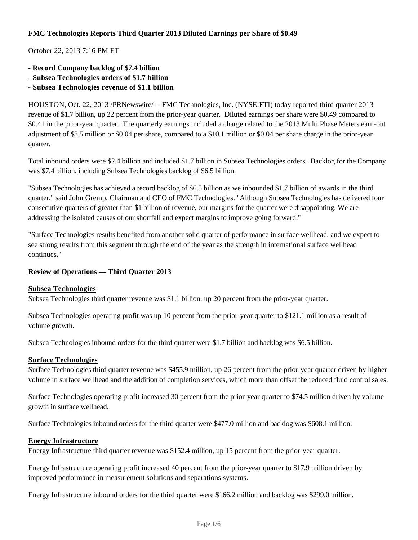## **FMC Technologies Reports Third Quarter 2013 Diluted Earnings per Share of \$0.49**

October 22, 2013 7:16 PM ET

- **Record Company backlog of \$7.4 billion**
- **Subsea Technologies orders of \$1.7 billion**
- **Subsea Technologies revenue of \$1.1 billion**

HOUSTON, Oct. 22, 2013 /PRNewswire/ -- FMC Technologies, Inc. (NYSE:FTI) today reported third quarter 2013 revenue of \$1.7 billion, up 22 percent from the prior-year quarter. Diluted earnings per share were \$0.49 compared to \$0.41 in the prior-year quarter. The quarterly earnings included a charge related to the 2013 Multi Phase Meters earn-out adjustment of \$8.5 million or \$0.04 per share, compared to a \$10.1 million or \$0.04 per share charge in the prior-year quarter.

Total inbound orders were \$2.4 billion and included \$1.7 billion in Subsea Technologies orders. Backlog for the Company was \$7.4 billion, including Subsea Technologies backlog of \$6.5 billion.

"Subsea Technologies has achieved a record backlog of \$6.5 billion as we inbounded \$1.7 billion of awards in the third quarter," said John Gremp, Chairman and CEO of FMC Technologies. "Although Subsea Technologies has delivered four consecutive quarters of greater than \$1 billion of revenue, our margins for the quarter were disappointing. We are addressing the isolated causes of our shortfall and expect margins to improve going forward."

"Surface Technologies results benefited from another solid quarter of performance in surface wellhead, and we expect to see strong results from this segment through the end of the year as the strength in international surface wellhead continues."

#### **Review of Operations — Third Quarter 2013**

#### **Subsea Technologies**

Subsea Technologies third quarter revenue was \$1.1 billion, up 20 percent from the prior-year quarter.

Subsea Technologies operating profit was up 10 percent from the prior-year quarter to \$121.1 million as a result of volume growth.

Subsea Technologies inbound orders for the third quarter were \$1.7 billion and backlog was \$6.5 billion.

#### **Surface Technologies**

Surface Technologies third quarter revenue was \$455.9 million, up 26 percent from the prior-year quarter driven by higher volume in surface wellhead and the addition of completion services, which more than offset the reduced fluid control sales.

Surface Technologies operating profit increased 30 percent from the prior-year quarter to \$74.5 million driven by volume growth in surface wellhead.

Surface Technologies inbound orders for the third quarter were \$477.0 million and backlog was \$608.1 million.

#### **Energy Infrastructure**

Energy Infrastructure third quarter revenue was \$152.4 million, up 15 percent from the prior-year quarter.

Energy Infrastructure operating profit increased 40 percent from the prior-year quarter to \$17.9 million driven by improved performance in measurement solutions and separations systems.

Energy Infrastructure inbound orders for the third quarter were \$166.2 million and backlog was \$299.0 million.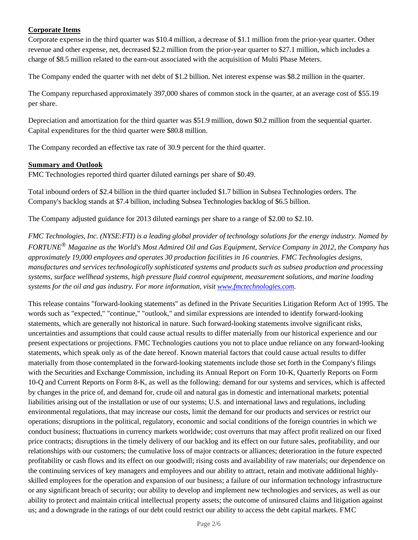# **Corporate Items**

Corporate expense in the third quarter was \$10.4 million, a decrease of \$1.1 million from the prior-year quarter. Other revenue and other expense, net, decreased \$2.2 million from the prior-year quarter to \$27.1 million, which includes a charge of \$8.5 million related to the earn-out associated with the acquisition of Multi Phase Meters.

The Company ended the quarter with net debt of \$1.2 billion. Net interest expense was \$8.2 million in the quarter.

The Company repurchased approximately 397,000 shares of common stock in the quarter, at an average cost of \$55.19 per share.

Depreciation and amortization for the third quarter was \$51.9 million, down \$0.2 million from the sequential quarter. Capital expenditures for the third quarter were \$80.8 million.

The Company recorded an effective tax rate of 30.9 percent for the third quarter.

### **Summary and Outlook**

FMC Technologies reported third quarter diluted earnings per share of \$0.49.

Total inbound orders of \$2.4 billion in the third quarter included \$1.7 billion in Subsea Technologies orders. The Company's backlog stands at \$7.4 billion, including Subsea Technologies backlog of \$6.5 billion.

The Company adjusted guidance for 2013 diluted earnings per share to a range of \$2.00 to \$2.10.

*FMC Technologies, Inc. (NYSE:FTI) is a leading global provider of technology solutions for the energy industry. Named by FORTUNE® Magazine as the World's Most Admired Oil and Gas Equipment, Service Company in 2012, the Company has approximately 19,000 employees and operates 30 production facilities in 16 countries. FMC Technologies designs, manufactures and services technologically sophisticated systems and products such as subsea production and processing systems, surface wellhead systems, high pressure fluid control equipment, measurement solutions, and marine loading systems for the oil and gas industry. For more information, visit www.fmctechnologies.com.*

This release contains "forward-looking statements" as defined in the Private Securities Litigation Reform Act of 1995. The words such as "expected," "continue," "outlook," and similar expressions are intended to identify forward-looking statements, which are generally not historical in nature. Such forward-looking statements involve significant risks, uncertainties and assumptions that could cause actual results to differ materially from our historical experience and our present expectations or projections. FMC Technologies cautions you not to place undue reliance on any forward-looking statements, which speak only as of the date hereof. Known material factors that could cause actual results to differ materially from those contemplated in the forward-looking statements include those set forth in the Company's filings with the Securities and Exchange Commission, including its Annual Report on Form 10-K, Quarterly Reports on Form 10-Q and Current Reports on Form 8-K, as well as the following: demand for our systems and services, which is affected by changes in the price of, and demand for, crude oil and natural gas in domestic and international markets; potential liabilities arising out of the installation or use of our systems; U.S. and international laws and regulations, including environmental regulations, that may increase our costs, limit the demand for our products and services or restrict our operations; disruptions in the political, regulatory, economic and social conditions of the foreign countries in which we conduct business; fluctuations in currency markets worldwide; cost overruns that may affect profit realized on our fixed price contracts; disruptions in the timely delivery of our backlog and its effect on our future sales, profitability, and our relationships with our customers; the cumulative loss of major contracts or alliances; deterioration in the future expected profitability or cash flows and its effect on our goodwill; rising costs and availability of raw materials; our dependence on the continuing services of key managers and employees and our ability to attract, retain and motivate additional highlyskilled employees for the operation and expansion of our business; a failure of our information technology infrastructure or any significant breach of security; our ability to develop and implement new technologies and services, as well as our ability to protect and maintain critical intellectual property assets; the outcome of uninsured claims and litigation against us; and a downgrade in the ratings of our debt could restrict our ability to access the debt capital markets. FMC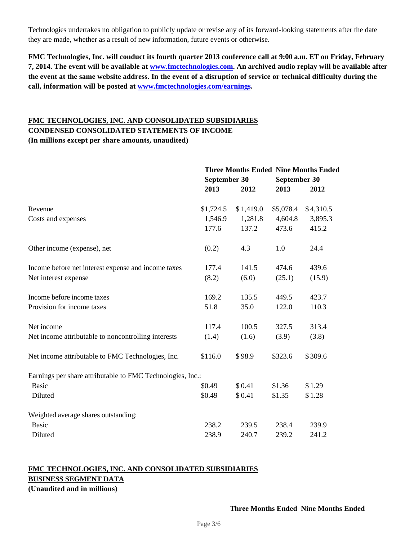Technologies undertakes no obligation to publicly update or revise any of its forward-looking statements after the date they are made, whether as a result of new information, future events or otherwise.

**FMC Technologies, Inc. will conduct its fourth quarter 2013 conference call at 9:00 a.m. ET on Friday, February 7, 2014. The event will be available at www.fmctechnologies.com. An archived audio replay will be available after the event at the same website address. In the event of a disruption of service or technical difficulty during the call, information will be posted at www.fmctechnologies.com/earnings.**

## **FMC TECHNOLOGIES, INC. AND CONSOLIDATED SUBSIDIARIES CONDENSED CONSOLIDATED STATEMENTS OF INCOME (In millions except per share amounts, unaudited)**

**Three Months Ended Nine Months Ended September 30 September 30 2013 2012 2013 2012** Revenue \$1,724.5 \$ 1,419.0 \$5,078.4 \$ 4,310.5 Costs and expenses 1,546.9 1,281.8 4,604.8 3,895.3 177.6 137.2 473.6 415.2 Other income (expense), net (0.2) 4.3 1.0 24.4 Income before net interest expense and income taxes 177.4 141.5 474.6 439.6 Net interest expense (8.2) (6.0) (25.1) (15.9) Income before income taxes 169.2 135.5 449.5 423.7 Provision for income taxes 51.8 35.0 122.0 110.3 Net income 117.4 100.5 327.5 313.4 Net income attributable to noncontrolling interests (1.4) (1.6) (3.9) (3.8) Net income attributable to FMC Technologies, Inc.  $$116.0$  \$98.9 \$323.6 \$309.6 Earnings per share attributable to FMC Technologies, Inc.: Basic \$0.49 \$ 0.41 \$1.36 \$1.29 Diluted \$0.49 \$ 0.41 \$1.35 \$1.28 Weighted average shares outstanding: Basic 238.2 239.5 238.4 239.9 Diluted 238.9 240.7 239.2 241.2

## **FMC TECHNOLOGIES, INC. AND CONSOLIDATED SUBSIDIARIES BUSINESS SEGMENT DATA**

**(Unaudited and in millions)**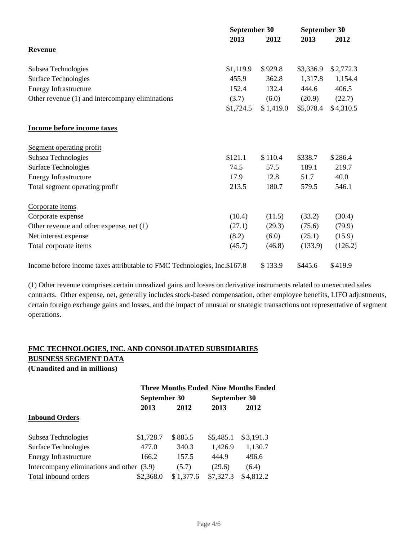|                                                                          |           | September 30 |           | September 30 |  |
|--------------------------------------------------------------------------|-----------|--------------|-----------|--------------|--|
|                                                                          | 2013      | 2012         | 2013      | 2012         |  |
| <b>Revenue</b>                                                           |           |              |           |              |  |
| Subsea Technologies                                                      | \$1,119.9 | \$929.8      | \$3,336.9 | \$2,772.3    |  |
| <b>Surface Technologies</b>                                              | 455.9     | 362.8        | 1,317.8   | 1,154.4      |  |
| <b>Energy Infrastructure</b>                                             | 152.4     | 132.4        | 444.6     | 406.5        |  |
| Other revenue (1) and intercompany eliminations                          | (3.7)     | (6.0)        | (20.9)    | (22.7)       |  |
|                                                                          | \$1,724.5 | \$1,419.0    | \$5,078.4 | \$4,310.5    |  |
| Income before income taxes                                               |           |              |           |              |  |
| Segment operating profit                                                 |           |              |           |              |  |
| Subsea Technologies                                                      | \$121.1   | \$110.4      | \$338.7   | \$286.4      |  |
| <b>Surface Technologies</b>                                              | 74.5      | 57.5         | 189.1     | 219.7        |  |
| <b>Energy Infrastructure</b>                                             | 17.9      | 12.8         | 51.7      | 40.0         |  |
| Total segment operating profit                                           | 213.5     | 180.7        | 579.5     | 546.1        |  |
| Corporate items                                                          |           |              |           |              |  |
| Corporate expense                                                        | (10.4)    | (11.5)       | (33.2)    | (30.4)       |  |
| Other revenue and other expense, net (1)                                 | (27.1)    | (29.3)       | (75.6)    | (79.9)       |  |
| Net interest expense                                                     | (8.2)     | (6.0)        | (25.1)    | (15.9)       |  |
| Total corporate items                                                    | (45.7)    | (46.8)       | (133.9)   | (126.2)      |  |
| Income before income taxes attributable to FMC Technologies, Inc.\$167.8 |           | \$133.9      | \$445.6   | \$419.9      |  |

(1) Other revenue comprises certain unrealized gains and losses on derivative instruments related to unexecuted sales contracts. Other expense, net, generally includes stock-based compensation, other employee benefits, LIFO adjustments, certain foreign exchange gains and losses, and the impact of unusual or strategic transactions not representative of segment operations.

# **FMC TECHNOLOGIES, INC. AND CONSOLIDATED SUBSIDIARIES**

**BUSINESS SEGMENT DATA**

**(Unaudited and in millions)**

|                                           |              |           |           | <b>Three Months Ended Nine Months Ended</b> |  |
|-------------------------------------------|--------------|-----------|-----------|---------------------------------------------|--|
|                                           | September 30 |           |           | September 30                                |  |
|                                           | 2013         | 2012      | 2013      | 2012                                        |  |
| <b>Inbound Orders</b>                     |              |           |           |                                             |  |
|                                           |              |           |           |                                             |  |
| Subsea Technologies                       | \$1,728.7    | \$885.5   | \$5,485.1 | \$3,191.3                                   |  |
| <b>Surface Technologies</b>               | 477.0        | 340.3     | 1,426.9   | 1,130.7                                     |  |
| <b>Energy Infrastructure</b>              | 166.2        | 157.5     | 444.9     | 496.6                                       |  |
| Intercompany eliminations and other (3.9) |              | (5.7)     | (29.6)    | (6.4)                                       |  |
| Total inbound orders                      | \$2,368.0    | \$1,377.6 | \$7,327.3 | \$4,812.2                                   |  |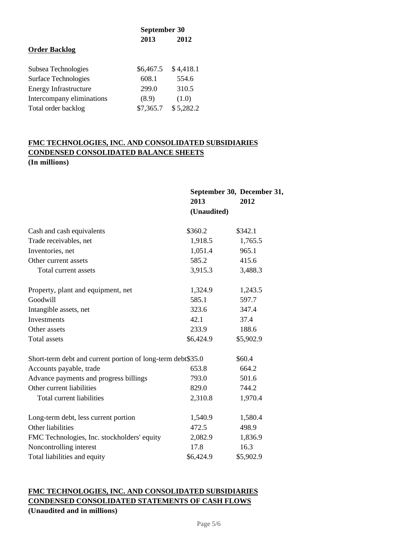|                              | September 30 |           |  |
|------------------------------|--------------|-----------|--|
|                              | 2013         | 2012      |  |
| <b>Order Backlog</b>         |              |           |  |
| Subsea Technologies          | \$6,467.5    | \$4,418.1 |  |
| Surface Technologies         | 608.1        | 554.6     |  |
| <b>Energy Infrastructure</b> | 299.0        | 310.5     |  |
| Intercompany eliminations    | (8.9)        | (1.0)     |  |
| Total order backlog          | \$7,365.7    | \$5,282.2 |  |

# **FMC TECHNOLOGIES, INC. AND CONSOLIDATED SUBSIDIARIES CONDENSED CONSOLIDATED BALANCE SHEETS (In millions)**

|                                                             | 2013<br>(Unaudited) | September 30, December 31,<br>2012 |
|-------------------------------------------------------------|---------------------|------------------------------------|
| Cash and cash equivalents                                   | \$360.2             | \$342.1                            |
| Trade receivables, net                                      | 1,918.5             | 1,765.5                            |
| Inventories, net                                            | 1,051.4             | 965.1                              |
| Other current assets                                        | 585.2               | 415.6                              |
| Total current assets                                        | 3,915.3             | 3,488.3                            |
| Property, plant and equipment, net                          | 1,324.9             | 1,243.5                            |
| Goodwill                                                    | 585.1               | 597.7                              |
| Intangible assets, net                                      | 323.6               | 347.4                              |
| Investments                                                 | 42.1                | 37.4                               |
| Other assets                                                | 233.9               | 188.6                              |
| Total assets                                                | \$6,424.9           | \$5,902.9                          |
| Short-term debt and current portion of long-term debt\$35.0 |                     | \$60.4                             |
| Accounts payable, trade                                     | 653.8               | 664.2                              |
| Advance payments and progress billings                      | 793.0               | 501.6                              |
| Other current liabilities                                   | 829.0               | 744.2                              |
| Total current liabilities                                   | 2,310.8             | 1,970.4                            |
| Long-term debt, less current portion                        | 1,540.9             | 1,580.4                            |
| Other liabilities                                           | 472.5               | 498.9                              |
| FMC Technologies, Inc. stockholders' equity                 | 2,082.9             | 1,836.9                            |
| Noncontrolling interest                                     | 17.8                | 16.3                               |
| Total liabilities and equity                                | \$6,424.9           | \$5,902.9                          |

# **FMC TECHNOLOGIES, INC. AND CONSOLIDATED SUBSIDIARIES CONDENSED CONSOLIDATED STATEMENTS OF CASH FLOWS (Unaudited and in millions)**